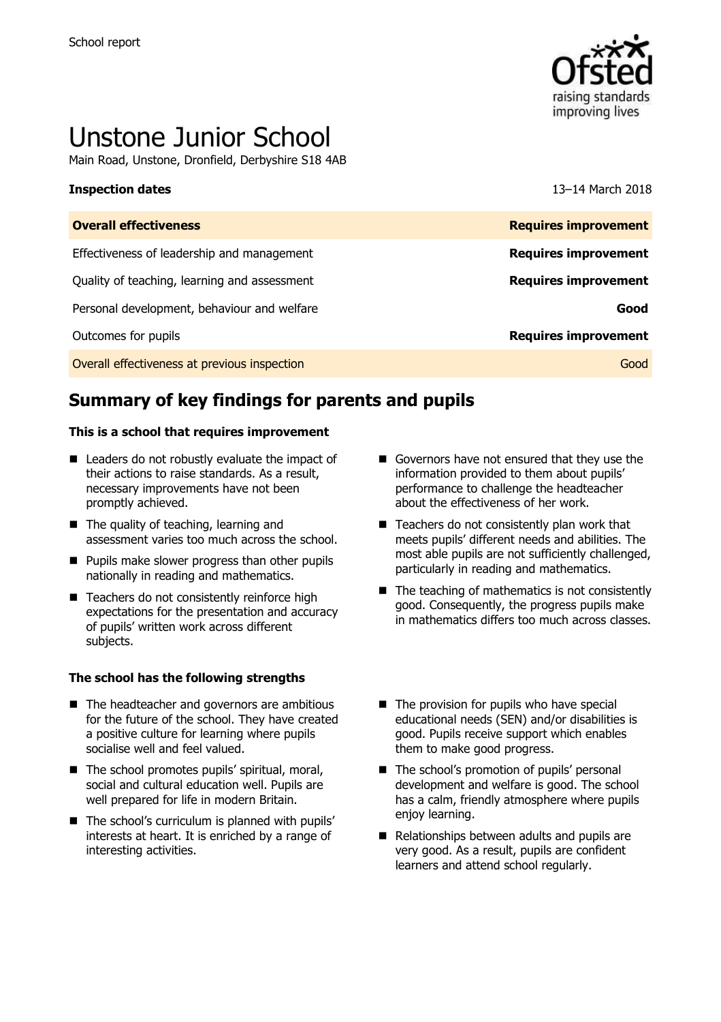

# Unstone Junior School

Main Road, Unstone, Dronfield, Derbyshire S18 4AB

#### **Inspection dates** 13–14 March 2018

| <b>Overall effectiveness</b>                 | <b>Requires improvement</b> |
|----------------------------------------------|-----------------------------|
| Effectiveness of leadership and management   | <b>Requires improvement</b> |
| Quality of teaching, learning and assessment | <b>Requires improvement</b> |
| Personal development, behaviour and welfare  | Good                        |
| Outcomes for pupils                          | <b>Requires improvement</b> |
| Overall effectiveness at previous inspection | Good                        |
|                                              |                             |

# **Summary of key findings for parents and pupils**

#### **This is a school that requires improvement**

- Leaders do not robustly evaluate the impact of their actions to raise standards. As a result, necessary improvements have not been promptly achieved.
- The quality of teaching, learning and assessment varies too much across the school.
- **Pupils make slower progress than other pupils** nationally in reading and mathematics.
- Teachers do not consistently reinforce high expectations for the presentation and accuracy of pupils' written work across different subjects.

#### **The school has the following strengths**

- The headteacher and governors are ambitious for the future of the school. They have created a positive culture for learning where pupils socialise well and feel valued.
- The school promotes pupils' spiritual, moral, social and cultural education well. Pupils are well prepared for life in modern Britain.
- The school's curriculum is planned with pupils' interests at heart. It is enriched by a range of interesting activities.
- Governors have not ensured that they use the information provided to them about pupils' performance to challenge the headteacher about the effectiveness of her work.
- $\blacksquare$  Teachers do not consistently plan work that meets pupils' different needs and abilities. The most able pupils are not sufficiently challenged, particularly in reading and mathematics.
- $\blacksquare$  The teaching of mathematics is not consistently good. Consequently, the progress pupils make in mathematics differs too much across classes.
- $\blacksquare$  The provision for pupils who have special educational needs (SEN) and/or disabilities is good. Pupils receive support which enables them to make good progress.
- The school's promotion of pupils' personal development and welfare is good. The school has a calm, friendly atmosphere where pupils enjoy learning.
- Relationships between adults and pupils are very good. As a result, pupils are confident learners and attend school regularly.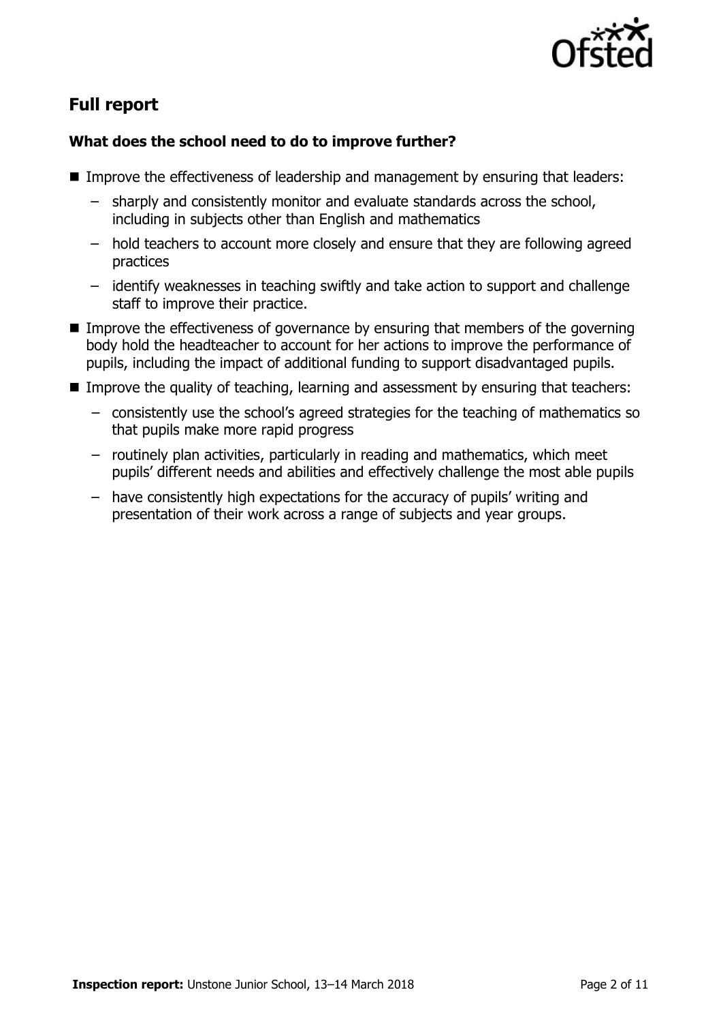

# **Full report**

### **What does the school need to do to improve further?**

- Improve the effectiveness of leadership and management by ensuring that leaders:
	- sharply and consistently monitor and evaluate standards across the school, including in subjects other than English and mathematics
	- hold teachers to account more closely and ensure that they are following agreed practices
	- identify weaknesses in teaching swiftly and take action to support and challenge staff to improve their practice.
- **IMPROVE THE EFFECT IVENETS IS COVERTED EXAM** ensuring that members of the governing body hold the headteacher to account for her actions to improve the performance of pupils, including the impact of additional funding to support disadvantaged pupils.
- Improve the quality of teaching, learning and assessment by ensuring that teachers:
	- − consistently use the school's agreed strategies for the teaching of mathematics so that pupils make more rapid progress
	- − routinely plan activities, particularly in reading and mathematics, which meet pupils' different needs and abilities and effectively challenge the most able pupils
	- − have consistently high expectations for the accuracy of pupils' writing and presentation of their work across a range of subjects and year groups.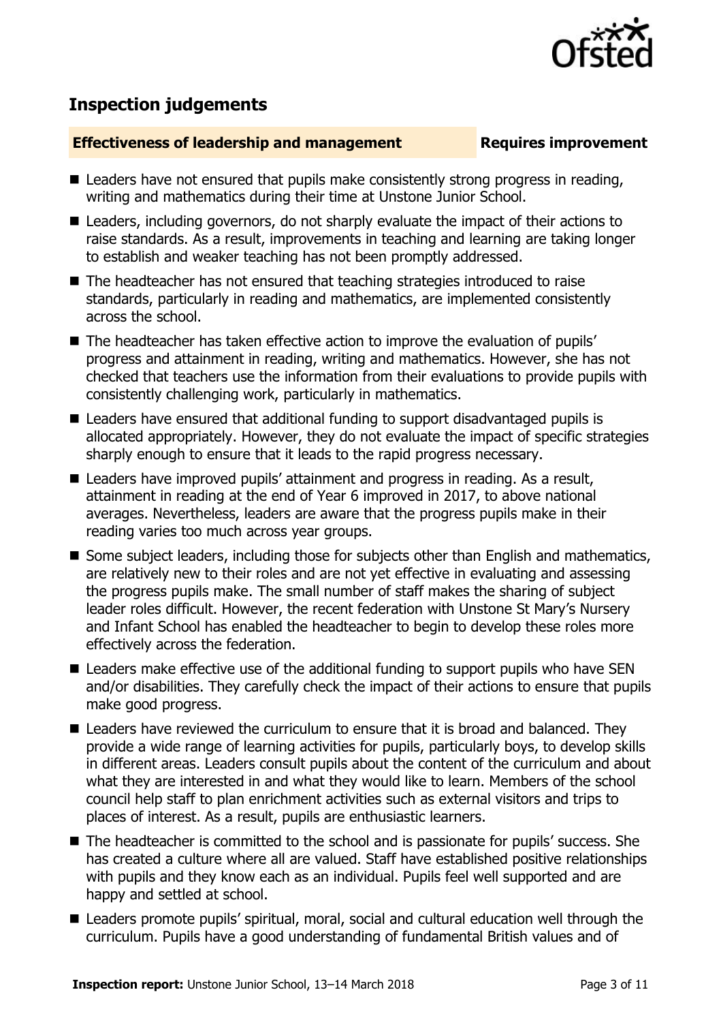

# **Inspection judgements**

#### **Effectiveness of leadership and management Requires improvement**

- Leaders have not ensured that pupils make consistently strong progress in reading, writing and mathematics during their time at Unstone Junior School.
- Leaders, including governors, do not sharply evaluate the impact of their actions to raise standards. As a result, improvements in teaching and learning are taking longer to establish and weaker teaching has not been promptly addressed.
- The headteacher has not ensured that teaching strategies introduced to raise standards, particularly in reading and mathematics, are implemented consistently across the school.
- The headteacher has taken effective action to improve the evaluation of pupils' progress and attainment in reading, writing and mathematics. However, she has not checked that teachers use the information from their evaluations to provide pupils with consistently challenging work, particularly in mathematics.
- Leaders have ensured that additional funding to support disadvantaged pupils is allocated appropriately. However, they do not evaluate the impact of specific strategies sharply enough to ensure that it leads to the rapid progress necessary.
- Leaders have improved pupils' attainment and progress in reading. As a result, attainment in reading at the end of Year 6 improved in 2017, to above national averages. Nevertheless, leaders are aware that the progress pupils make in their reading varies too much across year groups.
- Some subject leaders, including those for subjects other than English and mathematics, are relatively new to their roles and are not yet effective in evaluating and assessing the progress pupils make. The small number of staff makes the sharing of subject leader roles difficult. However, the recent federation with Unstone St Mary's Nursery and Infant School has enabled the headteacher to begin to develop these roles more effectively across the federation.
- Leaders make effective use of the additional funding to support pupils who have SEN and/or disabilities. They carefully check the impact of their actions to ensure that pupils make good progress.
- Leaders have reviewed the curriculum to ensure that it is broad and balanced. They provide a wide range of learning activities for pupils, particularly boys, to develop skills in different areas. Leaders consult pupils about the content of the curriculum and about what they are interested in and what they would like to learn. Members of the school council help staff to plan enrichment activities such as external visitors and trips to places of interest. As a result, pupils are enthusiastic learners.
- The headteacher is committed to the school and is passionate for pupils' success. She has created a culture where all are valued. Staff have established positive relationships with pupils and they know each as an individual. Pupils feel well supported and are happy and settled at school.
- Leaders promote pupils' spiritual, moral, social and cultural education well through the curriculum. Pupils have a good understanding of fundamental British values and of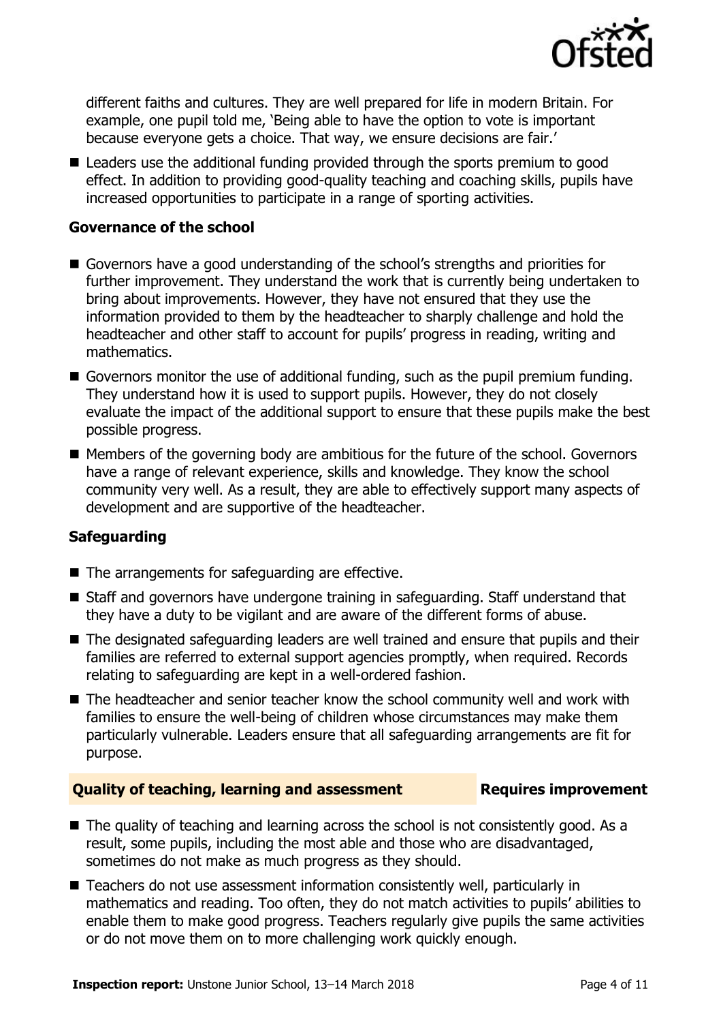

different faiths and cultures. They are well prepared for life in modern Britain. For example, one pupil told me, 'Being able to have the option to vote is important because everyone gets a choice. That way, we ensure decisions are fair.'

■ Leaders use the additional funding provided through the sports premium to good effect. In addition to providing good-quality teaching and coaching skills, pupils have increased opportunities to participate in a range of sporting activities.

#### **Governance of the school**

- Governors have a good understanding of the school's strengths and priorities for further improvement. They understand the work that is currently being undertaken to bring about improvements. However, they have not ensured that they use the information provided to them by the headteacher to sharply challenge and hold the headteacher and other staff to account for pupils' progress in reading, writing and mathematics.
- Governors monitor the use of additional funding, such as the pupil premium funding. They understand how it is used to support pupils. However, they do not closely evaluate the impact of the additional support to ensure that these pupils make the best possible progress.
- Members of the governing body are ambitious for the future of the school. Governors have a range of relevant experience, skills and knowledge. They know the school community very well. As a result, they are able to effectively support many aspects of development and are supportive of the headteacher.

### **Safeguarding**

- $\blacksquare$  The arrangements for safeguarding are effective.
- Staff and governors have undergone training in safeguarding. Staff understand that they have a duty to be vigilant and are aware of the different forms of abuse.
- The designated safeguarding leaders are well trained and ensure that pupils and their families are referred to external support agencies promptly, when required. Records relating to safeguarding are kept in a well-ordered fashion.
- The headteacher and senior teacher know the school community well and work with families to ensure the well-being of children whose circumstances may make them particularly vulnerable. Leaders ensure that all safeguarding arrangements are fit for purpose.

#### **Quality of teaching, learning and assessment Fig. 2.1 Requires improvement**

- The quality of teaching and learning across the school is not consistently good. As a result, some pupils, including the most able and those who are disadvantaged, sometimes do not make as much progress as they should.
- Teachers do not use assessment information consistently well, particularly in mathematics and reading. Too often, they do not match activities to pupils' abilities to enable them to make good progress. Teachers regularly give pupils the same activities or do not move them on to more challenging work quickly enough.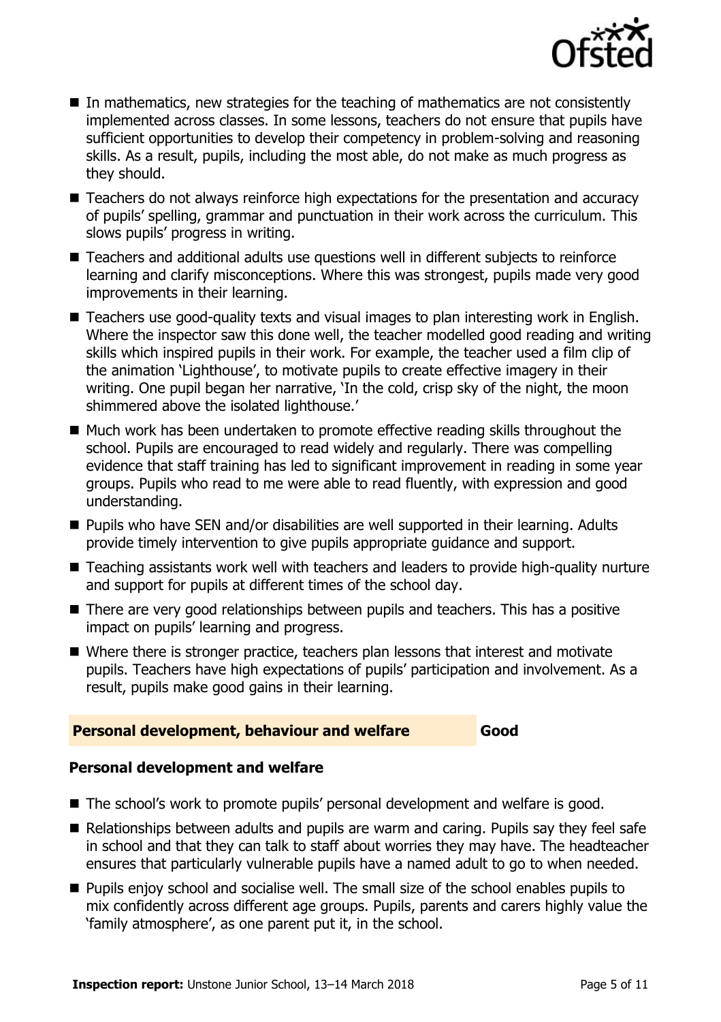

- In mathematics, new strategies for the teaching of mathematics are not consistently implemented across classes. In some lessons, teachers do not ensure that pupils have sufficient opportunities to develop their competency in problem-solving and reasoning skills. As a result, pupils, including the most able, do not make as much progress as they should.
- Teachers do not always reinforce high expectations for the presentation and accuracy of pupils' spelling, grammar and punctuation in their work across the curriculum. This slows pupils' progress in writing.
- Teachers and additional adults use questions well in different subjects to reinforce learning and clarify misconceptions. Where this was strongest, pupils made very good improvements in their learning.
- Teachers use good-quality texts and visual images to plan interesting work in English. Where the inspector saw this done well, the teacher modelled good reading and writing skills which inspired pupils in their work. For example, the teacher used a film clip of the animation 'Lighthouse', to motivate pupils to create effective imagery in their writing. One pupil began her narrative, 'In the cold, crisp sky of the night, the moon shimmered above the isolated lighthouse.'
- Much work has been undertaken to promote effective reading skills throughout the school. Pupils are encouraged to read widely and regularly. There was compelling evidence that staff training has led to significant improvement in reading in some year groups. Pupils who read to me were able to read fluently, with expression and good understanding.
- Pupils who have SEN and/or disabilities are well supported in their learning. Adults provide timely intervention to give pupils appropriate guidance and support.
- Teaching assistants work well with teachers and leaders to provide high-quality nurture and support for pupils at different times of the school day.
- There are very good relationships between pupils and teachers. This has a positive impact on pupils' learning and progress.
- Where there is stronger practice, teachers plan lessons that interest and motivate pupils. Teachers have high expectations of pupils' participation and involvement. As a result, pupils make good gains in their learning.

### **Personal development, behaviour and welfare Good**

### **Personal development and welfare**

- The school's work to promote pupils' personal development and welfare is good.
- $\blacksquare$  Relationships between adults and pupils are warm and caring. Pupils say they feel safe in school and that they can talk to staff about worries they may have. The headteacher ensures that particularly vulnerable pupils have a named adult to go to when needed.
- **Pupils enjoy school and socialise well. The small size of the school enables pupils to** mix confidently across different age groups. Pupils, parents and carers highly value the 'family atmosphere', as one parent put it, in the school.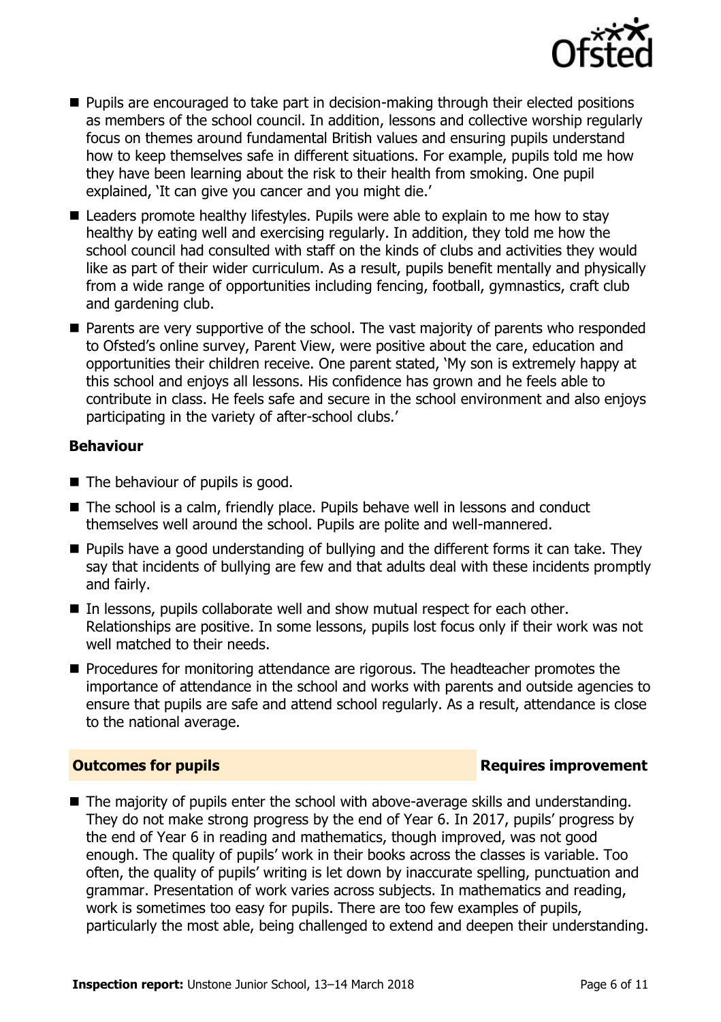

- **Pupils are encouraged to take part in decision-making through their elected positions** as members of the school council. In addition, lessons and collective worship regularly focus on themes around fundamental British values and ensuring pupils understand how to keep themselves safe in different situations. For example, pupils told me how they have been learning about the risk to their health from smoking. One pupil explained, 'It can give you cancer and you might die.'
- Leaders promote healthy lifestyles. Pupils were able to explain to me how to stay healthy by eating well and exercising regularly. In addition, they told me how the school council had consulted with staff on the kinds of clubs and activities they would like as part of their wider curriculum. As a result, pupils benefit mentally and physically from a wide range of opportunities including fencing, football, gymnastics, craft club and gardening club.
- **Parents are very supportive of the school. The vast majority of parents who responded** to Ofsted's online survey, Parent View, were positive about the care, education and opportunities their children receive. One parent stated, 'My son is extremely happy at this school and enjoys all lessons. His confidence has grown and he feels able to contribute in class. He feels safe and secure in the school environment and also enjoys participating in the variety of after-school clubs.'

#### **Behaviour**

- The behaviour of pupils is good.
- The school is a calm, friendly place. Pupils behave well in lessons and conduct themselves well around the school. Pupils are polite and well-mannered.
- **Pupils have a good understanding of bullying and the different forms it can take. They** say that incidents of bullying are few and that adults deal with these incidents promptly and fairly.
- In lessons, pupils collaborate well and show mutual respect for each other. Relationships are positive. In some lessons, pupils lost focus only if their work was not well matched to their needs.
- **Procedures for monitoring attendance are rigorous. The headteacher promotes the** importance of attendance in the school and works with parents and outside agencies to ensure that pupils are safe and attend school regularly. As a result, attendance is close to the national average.

### **Outcomes for pupils Requires improvement**

The majority of pupils enter the school with above-average skills and understanding. They do not make strong progress by the end of Year 6. In 2017, pupils' progress by the end of Year 6 in reading and mathematics, though improved, was not good enough. The quality of pupils' work in their books across the classes is variable. Too often, the quality of pupils' writing is let down by inaccurate spelling, punctuation and grammar. Presentation of work varies across subjects. In mathematics and reading, work is sometimes too easy for pupils. There are too few examples of pupils, particularly the most able, being challenged to extend and deepen their understanding.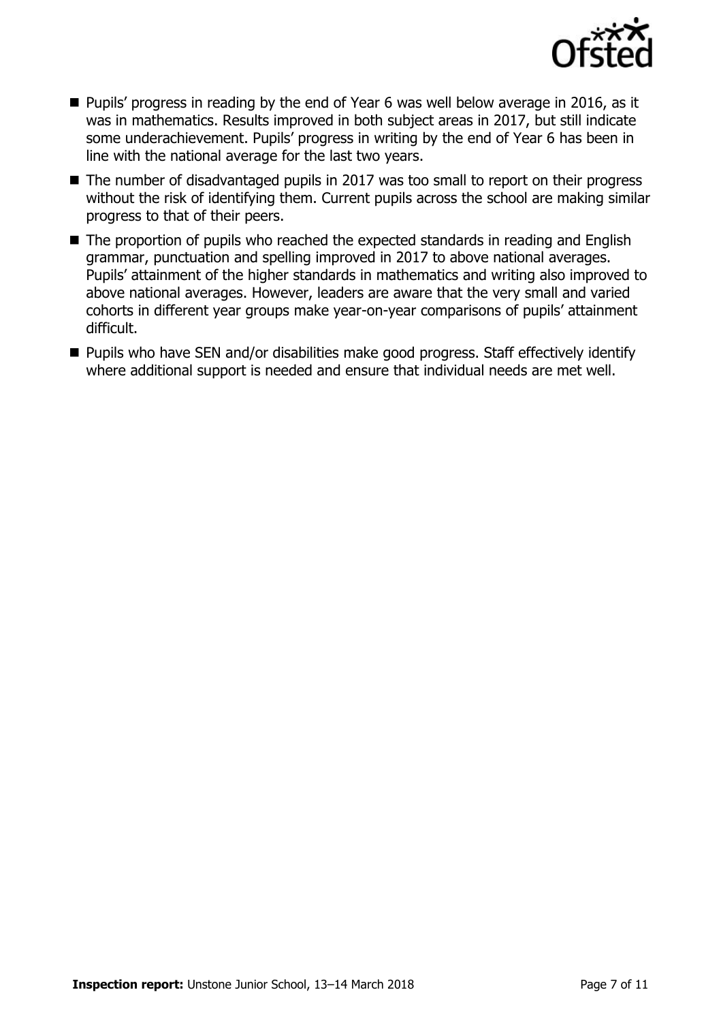

- Pupils' progress in reading by the end of Year 6 was well below average in 2016, as it was in mathematics. Results improved in both subject areas in 2017, but still indicate some underachievement. Pupils' progress in writing by the end of Year 6 has been in line with the national average for the last two years.
- The number of disadvantaged pupils in 2017 was too small to report on their progress without the risk of identifying them. Current pupils across the school are making similar progress to that of their peers.
- The proportion of pupils who reached the expected standards in reading and English grammar, punctuation and spelling improved in 2017 to above national averages. Pupils' attainment of the higher standards in mathematics and writing also improved to above national averages. However, leaders are aware that the very small and varied cohorts in different year groups make year-on-year comparisons of pupils' attainment difficult.
- Pupils who have SEN and/or disabilities make good progress. Staff effectively identify where additional support is needed and ensure that individual needs are met well.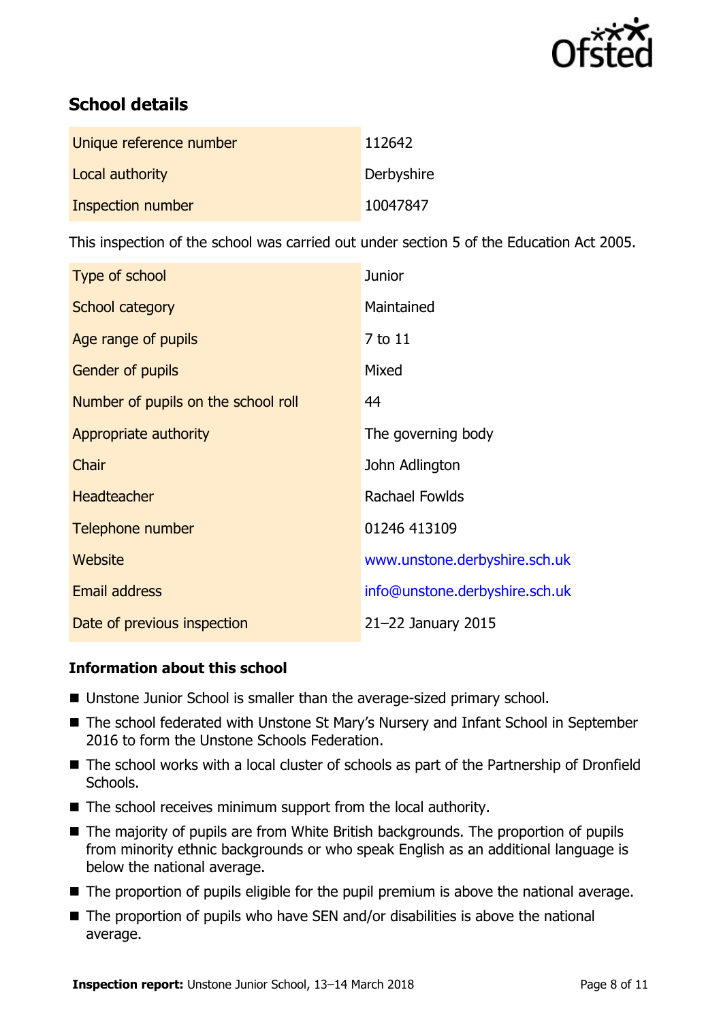

# **School details**

| Unique reference number | 112642     |
|-------------------------|------------|
| Local authority         | Derbyshire |
| Inspection number       | 10047847   |

This inspection of the school was carried out under section 5 of the Education Act 2005.

| Type of school                      | <b>Junior</b>                  |
|-------------------------------------|--------------------------------|
| School category                     | Maintained                     |
| Age range of pupils                 | 7 to 11                        |
| <b>Gender of pupils</b>             | Mixed                          |
| Number of pupils on the school roll | 44                             |
| Appropriate authority               | The governing body             |
| Chair                               | John Adlington                 |
| <b>Headteacher</b>                  | Rachael Fowlds                 |
| Telephone number                    | 01246 413109                   |
| Website                             | www.unstone.derbyshire.sch.uk  |
| <b>Email address</b>                | info@unstone.derbyshire.sch.uk |
| Date of previous inspection         | 21-22 January 2015             |

### **Information about this school**

- Unstone Junior School is smaller than the average-sized primary school.
- The school federated with Unstone St Mary's Nursery and Infant School in September 2016 to form the Unstone Schools Federation.
- The school works with a local cluster of schools as part of the Partnership of Dronfield Schools.
- The school receives minimum support from the local authority.
- The majority of pupils are from White British backgrounds. The proportion of pupils from minority ethnic backgrounds or who speak English as an additional language is below the national average.
- The proportion of pupils eligible for the pupil premium is above the national average.
- $\blacksquare$  The proportion of pupils who have SEN and/or disabilities is above the national average.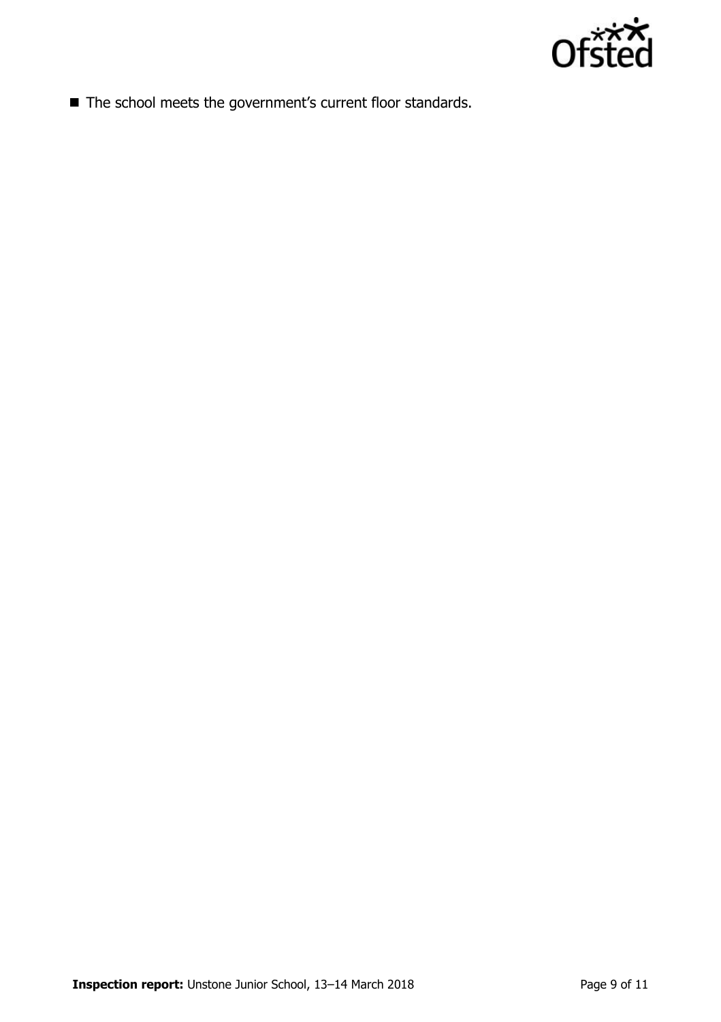

■ The school meets the government's current floor standards.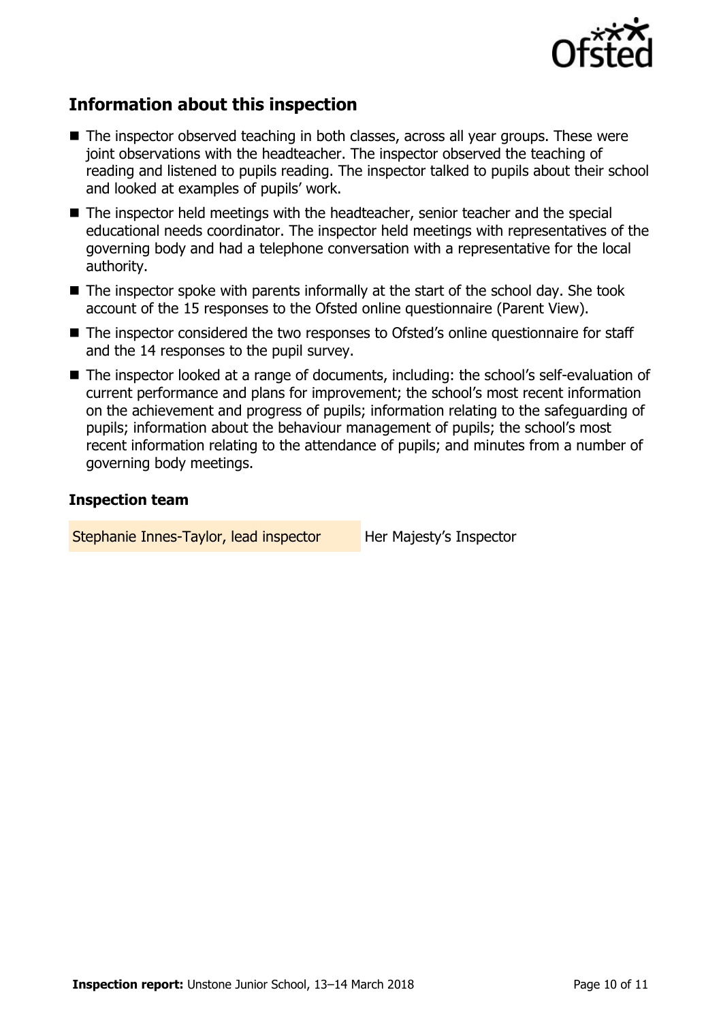

## **Information about this inspection**

- The inspector observed teaching in both classes, across all year groups. These were joint observations with the headteacher. The inspector observed the teaching of reading and listened to pupils reading. The inspector talked to pupils about their school and looked at examples of pupils' work.
- The inspector held meetings with the headteacher, senior teacher and the special educational needs coordinator. The inspector held meetings with representatives of the governing body and had a telephone conversation with a representative for the local authority.
- $\blacksquare$  The inspector spoke with parents informally at the start of the school day. She took account of the 15 responses to the Ofsted online questionnaire (Parent View).
- The inspector considered the two responses to Ofsted's online questionnaire for staff and the 14 responses to the pupil survey.
- The inspector looked at a range of documents, including: the school's self-evaluation of current performance and plans for improvement; the school's most recent information on the achievement and progress of pupils; information relating to the safeguarding of pupils; information about the behaviour management of pupils; the school's most recent information relating to the attendance of pupils; and minutes from a number of governing body meetings.

#### **Inspection team**

Stephanie Innes-Taylor, lead inspector Her Majesty's Inspector